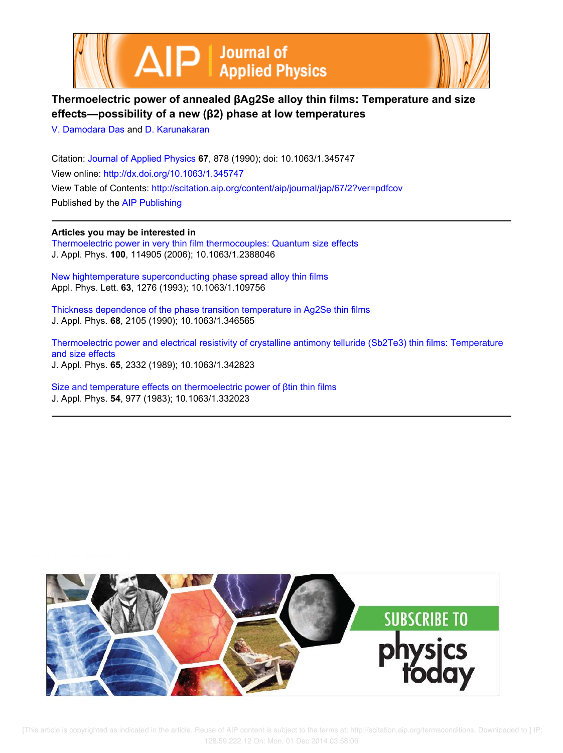



# **Thermoelectric power of annealed βAg2Se alloy thin films: Temperature and size effects—possibility of a new (β2) phase at low temperatures**

V. Damodara Das and D. Karunakaran

Citation: Journal of Applied Physics **67**, 878 (1990); doi: 10.1063/1.345747 View online: http://dx.doi.org/10.1063/1.345747 View Table of Contents: http://scitation.aip.org/content/aip/journal/jap/67/2?ver=pdfcov Published by the AIP Publishing

**Articles you may be interested in** Thermoelectric power in very thin film thermocouples: Quantum size effects J. Appl. Phys. **100**, 114905 (2006); 10.1063/1.2388046

New hightemperature superconducting phase spread alloy thin films Appl. Phys. Lett. **63**, 1276 (1993); 10.1063/1.109756

Thickness dependence of the phase transition temperature in Ag2Se thin films J. Appl. Phys. **68**, 2105 (1990); 10.1063/1.346565

Thermoelectric power and electrical resistivity of crystalline antimony telluride (Sb2Te3) thin films: Temperature and size effects J. Appl. Phys. **65**, 2332 (1989); 10.1063/1.342823

Size and temperature effects on thermoelectric power of βtin thin films J. Appl. Phys. **54**, 977 (1983); 10.1063/1.332023



[This article is copyrighted as indicated in the article. Reuse of AIP content is subject to the terms at: http://scitation.aip.org/termsconditions. Downloaded to ] IP: 128.59.222.12 On: Mon, 01 Dec 2014 03:58:06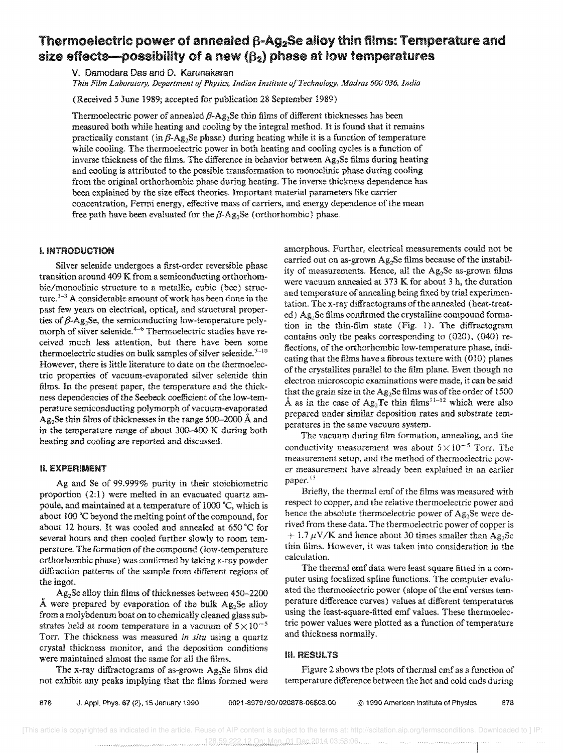# Thermoelectric power of annealed  $\beta$ -Ag<sub>2</sub>Se alloy thin films: Temperature and size effects--possibility of a new  $(\beta_2)$  phase at low temperatures

v. Oamodara Das and D. Karunakaran

*Thin Film Laboratory, Department of Physics, Indian Institute of Technology, Madras 600036, India* 

(Received 5 June 1989; accepted for publication 28 September 1989)

Thermoelectric power of annealed  $\beta$ -Ag<sub>2</sub>Se thin films of different thicknesses has been measured both while heating and cooling by the integral method. It is found that it remains practically constant (in  $\beta$ -Ag<sub>2</sub>Se phase) during heating while it is a function of temperature while cooling. The thermoelectric power in both heating and cooling cycles is a function of inverse thickness of the films. The difference in behavior between  $Ag_2$ Se films during heating and cooling is attributed to the possible transformation to monoclinic phase during cooling from the original orthorhombic phase during heating. The inverse thickness dependence has been explained by the size effect theories. Important material parameters like carrier concentration, Fermi energy, effective mass of carriers, and energy dependence of the mean free path have been evaluated for the  $\beta$ -Ag<sub>2</sub>Se (orthorhombic) phase.

### I. INTRODUCTION

Silver selenide undergoes a first-order reversible phase transition around 409 K from a semiconducting orthorhombic/monoclinic structure to a metallic, cubic (bee) structure.  $1-3$  A considerable amount of work has been done in the past few years on electrical, optical, and structural properties of  $\beta$ -Ag<sub>2</sub>Se, the semiconducting low-temperature polymorph of silver selenide.<sup>4-6</sup> Thermoelectric studies have received much less attention, but there have been some thermoelectric studies on bulk samples of silver selenide. $^{7-10}$ However, there is little literature to date on the thermoelectric properties of vacuum-evaporated silver selenide thin films. In the present paper, the temperature and the thickness dependencies of the Seebeck coefficient of the low-temperature semiconducting polymorph of vacuum-evaporated  $Ag<sub>2</sub>Se thin films of thicknesses in the range 500–2000 Å and$ in the temperature range of about 300-400 K during both heating and cooling are reported and discussed.

### II. EXPERIMENT

Ag and Se of 99.999% purity in their stoichiometric proportion (2:1) were melted in an evacuated quartz ampoule, and maintained at a temperature of 1000 °C, which is about 100 °C beyond the melting point of the compound, for about 12 hours, It was cooled and annealed at 650·C for several hours and then cooled further slowly to room temperature. The formation of the compound (low-temperature orthorhombic phase) was confirmed by taking x-ray powder diffraction patterns of the sample from different regions of the ingot.

Ag2Se alloy thin films of thicknesses between 450-2200 Å were prepared by evaporation of the bulk  $Ag_2Se$  alloy from a molybdenum boat on to chemically cleaned glass substrates held at room temperature in a vacuum of  $5 \times 10^{-5}$ Torr. The thickness was measured *in situ* using a quartz crystal thickness monitor, and the deposition conditions were maintained almost the same for all the films.

The x-ray diffractograms of as-grown Ag<sub>2</sub>Se films did not exhibit any peaks implying that the films formed were amorphous. Further, electrical measurements could not be carried out on as-grown Ag<sub>2</sub>Se films because of the instability of measurements. Hence, all the  $Ag<sub>2</sub>Se$  as-grown films were vacuum annealed at 373 K for about 3 h, the duration and temperature of annealing being fixed by trial experimentation. The x-ray diffractograms of the annealed (heat-treated)  $Ag_2$ Se films confirmed the crystalline compound formation in the thin-film state (Fig. 1). The diffractogram contains only the peaks corresponding to (020), (040) reflections, of the orthorhombic low-temperature phase, indicating that the films have a fibrous texture with (010) planes of the crystallites parallel to the film plane. Even though no electron microscopic examinations were made, it can be said that the grain size in the Ag<sub>2</sub>Se films was of the order of 1500 Å as in the case of  $Ag_2Te$  thin films<sup>11-12</sup> which were also prepared under similar deposition rates and substrate temperatures in the same vacuum system.

The vacuum during film formation, annealing, and the conductivity measurement was about  $5 \times 10^{-5}$  Torr. The measurement setup, and the method of thermoelectric power measurement have already been explained in an earlier paper.<sup>13</sup>

Briefly, the thermal emf of the films was measured with respect to copper, and the relative thermoelectric power and hence the absolute thermoelectric power of  $Ag<sub>2</sub>Se$  were derived from these data. The thermoelectric power of copper is  $+ 1.7 \mu$ V/K and hence about 30 times smaller than Ag<sub>2</sub>Se thin films. However, it was taken into consideration in the calculation,

The thermal emf data were least square fitted in a computer using localized spline functions. The computer evaluated the thermoelectric power (slope of the emf versus temperature difference curves) values at different temperatures using the least-square-fitted emf values. These thermoelectric power values were plotted as a function of temperature and thickness normally.

#### ill. RESULTS

Figure 2 shows the plots of thermal emf as a function of temperature difference between the hot and cold ends during

878 J. Appl. Phys. 67 (2), 15 January 1990 *0021-8979/90/020878-06\$03.00* @ 1990 American Institute of Physics 878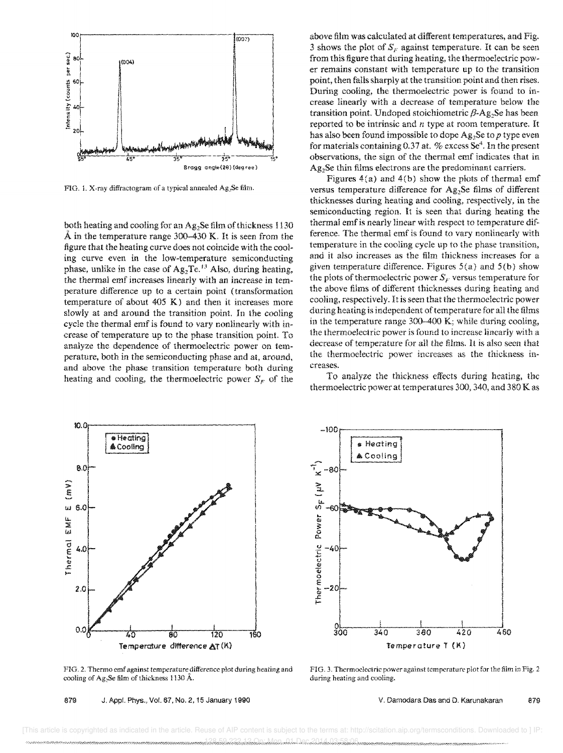

FIG. 1. X-ray diffractogram of a typical annealed Ag<sub>2</sub>Se film.

both heating and cooling for an Ag<sub>2</sub>Se film of thickness 1130  $\AA$  in the temperature range 300–430 K. It is seen from the figure that the heating curve does not coincide with the cooling curve even in the low-temperature semiconducting phase, unlike in the case of  $Ag_2Te^{13}$  Also, during heating, the thermal emf increases linearly with an increase in temperature difference up to a certain point (transformation temperature of about 405 K) and then it increases more slowly at and around the transition point. In the cooling cycle the thermal emf is found to vary nonlinearly with increase of temperature up to the phase transition point. To analyze the dependence of thermoelectric power on temperature, both in the semiconducting phase and at, around, and above the phase transition temperature both during heating and cooling, the thermoelectric power  $S_F$  of the



FIG. 2. Thermo emf against temperature difference plot during heating and cooling of Ag<sub>2</sub>Se film of thickness 1130 Å.

879 J. Appl. Phys., Vol. 67, No.2, 15 January 1990

above film was calculated at different temperatures, and Fig. 3 shows the plot of  $S_F$  against temperature. It can be seen from this figure that during heating, the thermoelectric power remains constant with temperature up to the transition point, then falls sharply at the transition point and then rises. During cooling, the thermoelectric power is found to increase linearly with a decrease of temperature below the transition point. Undoped stoichiometric  $\beta$ -Ag.Se has been reported to be intrinsic and *n* type at room temperature. It has also been found impossible to dope Ag<sub>2</sub>Se to *p* type even for materials containing 0.37 at. % excess  $\text{Se}^4$ . In the present observations, the sign of the thermal emf indicates that in Ag<sub>2</sub>Se thin films electrons are the predominant carriers.

Figures  $4(a)$  and  $4(b)$  show the plots of thermal emf versus temperature difference for Ag<sub>2</sub>Se films of different thicknesses during heating and cooling, respectively, in the semiconducting region. It is seen that during heating the thermal emf is nearly linear with respect to temperature difference. The thermal emf is found to vary nonlinearly with temperature in the cooling cycle up to the phase transition, and it also increases as the film thickness increases for a given temperature difference. Figures  $5(a)$  and  $5(b)$  show the plots of thermoelectric power  $S_F$  versus temperature for the above films of different thicknesses during heating and cooling, respectively. It is seen that the thermoelectric power during heating is independent of temperature for all the films in the temperature range 300-400 K; while during cooling, the thermoelectric power is found to increase linearly with a decrease of temperature for all the films. It is also seen that the thermoelectric power increases as the thickness increases.

To analyze the thickness effects during heating, the thermoelectric power at temperatures 300, 340, and 380 K as



FIG. 3. Thermoelectric power against temperature plot for the film in Fig. 2 during heating and cooling.

v. Damodara Das and D. Karunakaran 879

 [This article is copyrighted as indicated in the article. Reuse of AIP content is subject to the terms at: http://scitation.aip.org/termsconditions. Downloaded to ] IP: 1,228.59.222.12 On: Mon, 01 Dec 2014 03:58:06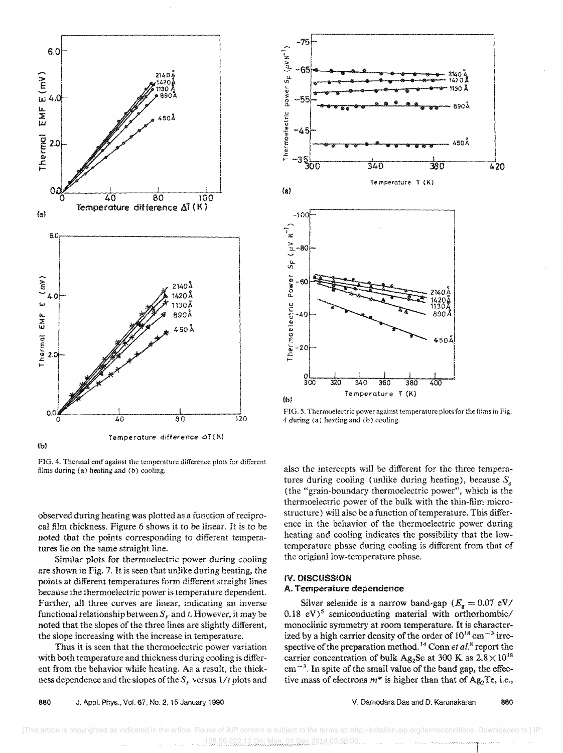

FIG. 4. Thermal emf against the temperature difference plots for different films during (a) heating and (b) cooling.

observed during heating was plotted as a function of reciprocal film thickness. Figure 6 shows it to be linear. It is to be noted that the points corresponding to different temperatures lie on the same straight line.

Similar plots for thermoelectric power during cooling are shown in Fig. 7. It is seen that unlike during heating, the points at different temperatures form different straight lines because the thermoelectric power is temperature dependent Further, all three curves are linear, indicating an inverse functional relationship between  $S_F$  and *t*. However, it may be noted that the slopes of the three lines are slightly different, the slope increasing with the increase in temperature.

Thus it is seen that the thermoelectric power variation with both temperature and thickness during cooling is different from the behavior while heating. As a result, the thickness dependence and the slopes of the  $S_F$  versus  $1/t$  plots and



FIG. 5. Thermoelectric power against temperature plots for the films in Fig. 4 during (a) heating and (b) cooling.

also the intercepts will be different for the three temperatures during cooling (unlike during heating), because  $S_g$ (the "grain-boundary thermoelectric power", which is the thermoelectric power of the bulk with the thin-film microstructure) will also be a function of temperature. This difference in the behavior of the thermoelectric power during heating and cooling indicates the possibility that the lowtemperature phase during cooling is different from that of the original low-temperature phase.

#### IV. DISCUSSION A. Temperature dependence

Silver selenide is a narrow band-gap  $(E_g = 0.07 \text{ eV})$ 0.18  $eV$ <sup>5</sup> semiconducting material with orthorhombic/ monoclinic symmetry at room temperature. It is characterized by a high carrier density of the order of  $10^{18}$  cm<sup> $-3$ </sup> irrespective of the preparation method.<sup>14</sup> Conn *et al.*<sup>8</sup> report the carrier concentration of bulk Ag<sub>2</sub>Se at 300 K as  $2.8 \times 10^{18}$  $cm^{-3}$ . In spite of the small value of the band gap, the effective mass of electrons  $m^*$  is higher than that of Ag<sub>2</sub>Te, i.e.,

V. Damodara Das and D. Karunakaran 860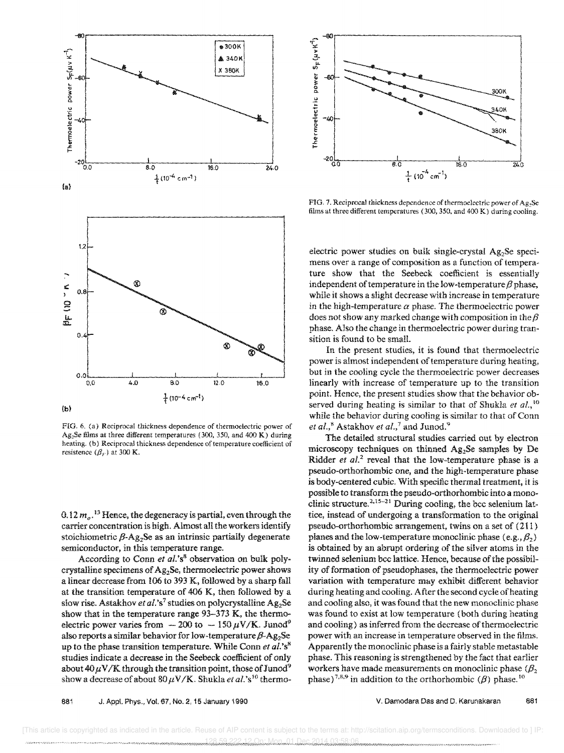

FIG. 6. (a) Reciprocal thickness dependence of thermoelectric power of Ag<sub>2</sub>Se films at three different temperatures (300, 350, and 400 K) during heating. (b) Reciprocal thickness dependence of temperature coefficient of resistence  $({\beta_F})$  at 300 K.

0.12  $m_e$ .<sup>13</sup> Hence, the degeneracy is partial, even through the carrier concentration is high. Almost all the workers identify stoichiometric  $\beta$ -Ag<sub>2</sub>Se as an intrinsic partially degenerate semiconductor, in this temperature range.

According to Conn *et al.'s8* observation on bulk polycrystalline specimens of Ag<sub>2</sub>Se, thermoelectric power shows a linear decrease from 106 to 393 K, followed by a sharp fall at the transition temperature of 406 K, then followed by a slow rise. Astakhov *et al.*'s<sup>7</sup> studies on polycrystalline Ag<sub>2</sub>Se show that in the temperature range 93-373 K, the thermoelectric power varies from  $-200$  to  $-150 \mu V/K$ . Junod<sup>9</sup> also reports a similar behavior for low-temperature  $\beta$ -Ag<sub>2</sub>Se up to the phase transition temperature. While Conn *et al.'s'"*  studies indicate a decrease in the Seebeck coefficient of only about  $40 \mu V/K$  through the transition point, those of Junod<sup>9</sup> show a decrease of about  $80 \mu \mathrm{V/K}$ . Shukla *et al.*'s<sup>10</sup> thermo-



FIG. 7. Reciprocal thickness dependence of thermoelectric power of Ag<sub>2</sub>Se films at three different temperatures (300,350, and 400 K) during cooling.

electric power studies on bulk single-crystal Ag<sub>2</sub>Se specimens over a range of composition as a function of temperature show that the Seebeck coefficient is essentially independent of temperature in the low-temperature  $\beta$  phase, while it shows a slight decrease with increase in temperature in the high-temperature  $\alpha$  phase. The thermoelectric power does not show any marked change with composition in the  $\beta$ phase. Also the change in thermoelectric power during transition is found to be small.

In the present studies, it is found that thermoelectric power is almost independent of temperature during heating, but in the cooling cycle the thermoelectric power decreases linearly with increase of temperature up to the transition point. Hence, the present studies show that the behavior observed during heating is similar to that of Shukla *et al.,* <sup>10</sup> while the behavior during cooling is similar to that of Conn *et al.*,<sup>8</sup> Astakhov *et al.*,<sup>7</sup> and Junod.<sup>9</sup>

The detailed structural studies carried out by electron microscopy techniques on thinned  $Ag<sub>2</sub>Se$  samples by De Ridder *et al.*<sup>2</sup> reveal that the low-temperature phase is a pseudo-orthorhombic one, and the high-temperature phase is body-centered cubic. With specific thermal treatment, it is possible to transform the pseudo-orthorhombic into a monoclinic structure.<sup>2,15-21</sup> During cooling, the bcc selenium lattice, instead of undergoing a transformation to the original pseudo-orthorhombic arrangement, twins on a set of (211 ) planes and the low-temperature monoclinic phase  $(e.g., \beta_2)$ is obtained by an abrupt ordering of the silver atoms in the twinned selenium bcc lattice. Hence, because of the possibility of formation of pseudophases, the thermoelectric power variation with temperature may exhibit different behavior during heating and cooling. After the second cycle of heating and cooling also, it was found that the new monoclinic phase was found to exist at low temperature (both during heating and cooling) as inferred from the decrease of thermoelectric power with an increase in temperature observed in the films. Apparently the monoclinic phase is a fairly stable metastable phase. This reasoning is strengthened by the fact that earlier workers have made measurements on monoclinic phase  $(\beta_2)$ phase)<sup>7,8,9</sup> in addition to the orthorhombic ( $\beta$ ) phase.<sup>10</sup>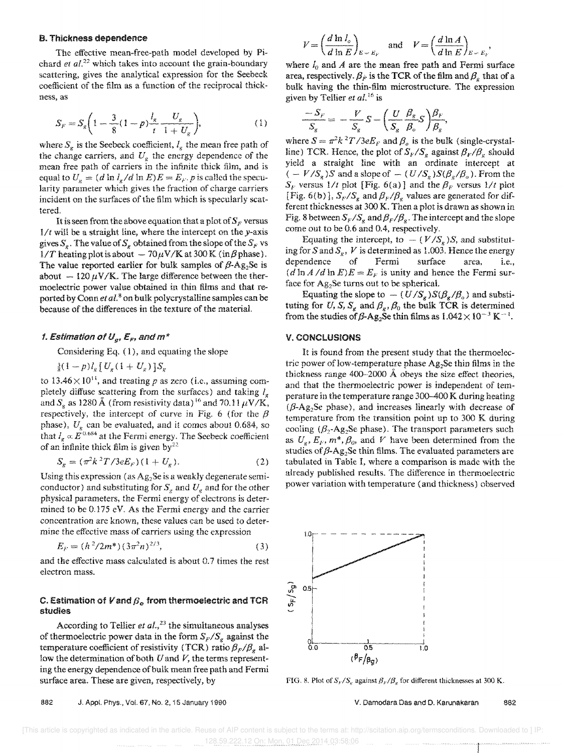#### B. Thickness dependence

The effective mean-free-path model developed by Pichard *el al.<sup>22</sup>*which takes into account the grain-boundary scattering, gives the analytical expression for the Seebeck coefficient of the film as a function of the reciprocal thickness, as

$$
S_F = S_g \bigg( 1 - \frac{3}{8} (1 - p) \frac{l_g}{t} \frac{U_g}{1 + U_g} \bigg), \tag{1}
$$

where  $S_g$  is the Seebeck coefficient,  $I_g$  the mean free path of the change carriers, and  $U_g$  the energy dependence of the mean free path of carriers in the infinite thick film, and is equal to  $U_g = (d \ln I_g / d \ln E)E = E_F$ . *p* is called the specu-Iarity parameter which gives the fraction of charge carriers incident on the surfaces of the film which is specularly scattered,

It is seen from the above equation that a plot of  $S_F$  versus *1/t* will be a straight line, where the intercept on the y-axis gives  $S_g$ . The value of  $S_g$  obtained from the slope of the  $S_F$  vs.  $1/T$  heating plot is about  $-70 \mu \text{V/K}$  at 300 K (in  $\beta$  phase). The value reported earlier for bulk samples of  $\beta$ -Ag<sub>2</sub>Se is about  $-120 \mu V/K$ . The large difference between the thermoelectric power value obtained in thin films and that reported by Conn et al.<sup>8</sup> on bulk polycrystalline samples can be because of the differences in the texture of the material.

## *f. Estimation of*  $U_g$ *,*  $\bar{\bm{\mathcal{E}}}_F$ *, and*  $m^*$

Considering Eq. (1), and equating the slope

 $\frac{3}{8}(1-p)l_{\rm g}\left[ U_{\rm g}(1+U_{\rm g})\right] S_{\rm g}$ 

to 13.46 $\times$ 10<sup>11</sup>, and treating p as zero (i.e., assuming completely diffuse scattering from the surfaces) and taking  $I_g$ and  $S<sub>g</sub>$  as 1280 Å (from resistivity data) <sup>16</sup> and 70.11  $\mu$ V/K, respectively, the intercept of curve in Fig. 6 (for the  $\beta$ phase),  $U_{g}$  can be evaluated, and it comes about 0.684, so that  $I_g \propto E^{0.684}$  at the Fermi energy. The Seebeck coefficient of an infinite thick film is given by<sup>22</sup>

$$
S_g = (\pi^2 k^2 T / 3eE_F)(1 + U_g).
$$
 (2)

Using this expression (as  $Ag_2Se$  is a weakly degenerate semiconductor) and substituting for  $S_g$  and  $U_g$  and for the other physical parameters, the Fermi energy of electrons is determined to be 0.175 eV. As the Fermi energy and the carrier concentration are known, these values can be used to determine the effective mass of carriers using the expression

$$
E_F = (h^2/2m^*)(3\pi^2n)^{2/3},\tag{3}
$$

and the effective mass calculated is about 0.7 times the rest electron mass.

#### C. Estimation of  $V$  and  $\beta_o$  from thermoelectric and TCR studies

According to Tellier *et al.,23* the simultaneous analyses of thermoelectric power data in the form  $S_F/S_g$  against the temperature coefficient of resistivity (TCR) ratio  $\beta_F/\beta_s$  allow the determination of both *U* and *V,* the terms representing the energy dependence of bulk mean free path and Fermi surface area. These are given, respectively, by

$$
V = \left(\frac{d \ln l_o}{d \ln E}\right)_{E = E_F} \quad \text{and} \quad V = \left(\frac{d \ln A}{d \ln E}\right)_{E = E_F}.
$$

where  $I_0$  and  $A$  are the mean free path and Fermi surface area, respectively.  $\beta_{\hat{F}}$  is the TCR of the film and  $\beta_{\hat{F}}$  that of a bulk having the thin-film microstructure. The expression given by Tellier *et al. <sup>16</sup>*is

$$
\frac{-S_F}{S_g} = -\frac{V}{S_g}S - \left(\frac{U}{S_g}\frac{\beta_g}{\beta_o}S\right)\frac{\beta_F}{\beta_g},
$$

where  $S = \pi^2 k^2 T / 3e E_F$  and  $\beta_o$  is the bulk (single-crystalline) TCR. Hence, the plot of  $S_F/S_g$  against  $\beta_F/\beta_g$  should yield a straight line with an ordinate intercept at  $(-V/S<sub>g</sub>)S$  and a slope of  $-(U/S<sub>g</sub>)S(\beta<sub>g</sub>/\beta<sub>o</sub>)$ . From the  $S_F$  versus  $1/t$  plot [Fig. 6(a)] and the  $\beta_F$  versus  $1/t$  plot [Fig. 6(b)],  $S_F/S_g$  and  $\beta_F/\beta_g$  values are generated for different thicknesses at 300 K. Then a plot is drawn as shown in Fig. 8 between  $S_F/S_g$  and  $\beta_F/\beta_g$ . The intercept and the slope come out to be 0.6 and 0.4, respectively,

Equating the intercept, to  $-$  ( $V/S<sub>g</sub>$ )S, and substituting for S and  $S_g$ , V is determined as 1.003. Hence the energy dependence of Fermi surface area, i.e.,  $(d \ln A/d \ln E)E = E_F$  is unity and hence the Fermi surface for  $Ag_2$ Se turns out to be spherical.

Equating the slope to  $-(U/S_g)S(\beta_g/\beta_o)$  and substituting for *U*, *S*,  $S_g$  and  $\beta_g$ ,  $\beta_0$  the bulk TCR is determined from the studies of  $\beta$ -Ag<sub>2</sub>Se thin films as  $1.042 \times 10^{-3}$  K<sup>-1</sup>.

#### V. CONCLUSIONS

It is found from the present study that the thermoelectric power of low-temperature phase  $Ag<sub>2</sub>Se$  thin films in the thickness range 400-2000 A obeys the size effect theories. and that the thermoelectric power is independent of temperature in the temperature range 300-400 K during heating  $(\beta$ -Ag<sub>2</sub>Se phase), and increases linearly with decrease of temperature from the transition point up to 300 K during cooling ( $\beta_2$ -Ag<sub>2</sub>Se phase). The transport parameters such as  $U_g$ ,  $E_F$ ,  $m^*$ ,  $\beta_o$ , and *V* have been determined from the studies of  $\beta$ -Ag<sub>2</sub>Se thin films. The evaluated parameters are tabulated in Table I, where a comparison is made with the already published results. The difference in thermoelectric power variation with temperature (and thickness) observed



FIG. 8. Plot of  $S_F/S_g$  against  $\beta_F/\beta_g$  for different thicknesses at 300 K.

882 J. Appl. Phys., Vol. 67, No, 2, 15 January 1990

V. Damodara Oas and D. Karunakaran 862